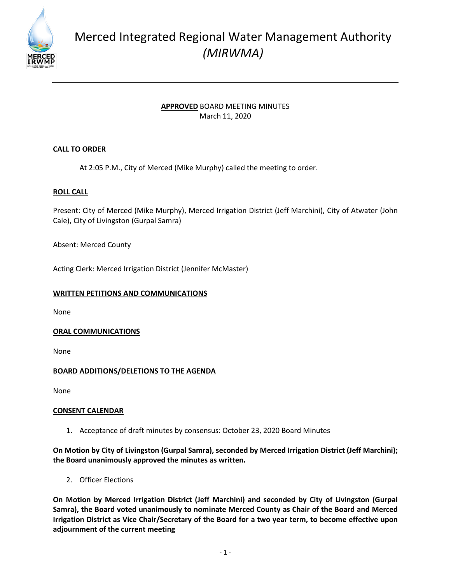

# Merced Integrated Regional Water Management Authority *(MIRWMA)*

# **APPROVED** BOARD MEETING MINUTES March 11, 2020

# **CALL TO ORDER**

At 2:05 P.M., City of Merced (Mike Murphy) called the meeting to order.

## **ROLL CALL**

Present: City of Merced (Mike Murphy), Merced Irrigation District (Jeff Marchini), City of Atwater (John Cale), City of Livingston (Gurpal Samra)

Absent: Merced County

Acting Clerk: Merced Irrigation District (Jennifer McMaster)

## **WRITTEN PETITIONS AND COMMUNICATIONS**

None

## **ORAL COMMUNICATIONS**

None

# **BOARD ADDITIONS/DELETIONS TO THE AGENDA**

None

## **CONSENT CALENDAR**

1. Acceptance of draft minutes by consensus: October 23, 2020 Board Minutes

## **On Motion by City of Livingston (Gurpal Samra), seconded by Merced Irrigation District (Jeff Marchini); the Board unanimously approved the minutes as written.**

2. Officer Elections

**On Motion by Merced Irrigation District (Jeff Marchini) and seconded by City of Livingston (Gurpal Samra), the Board voted unanimously to nominate Merced County as Chair of the Board and Merced Irrigation District as Vice Chair/Secretary of the Board for a two year term, to become effective upon adjournment of the current meeting**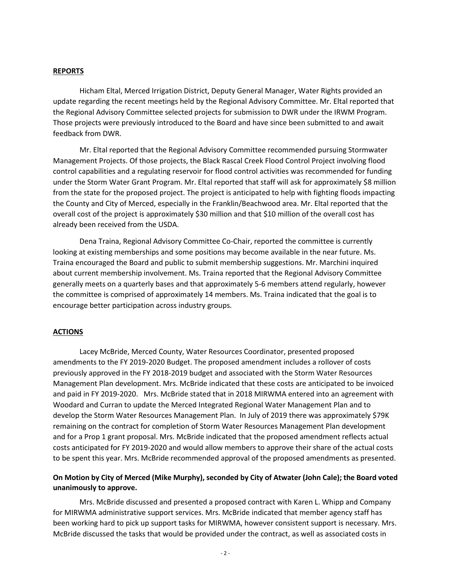#### **REPORTS**

Hicham Eltal, Merced Irrigation District, Deputy General Manager, Water Rights provided an update regarding the recent meetings held by the Regional Advisory Committee. Mr. Eltal reported that the Regional Advisory Committee selected projects for submission to DWR under the IRWM Program. Those projects were previously introduced to the Board and have since been submitted to and await feedback from DWR.

Mr. Eltal reported that the Regional Advisory Committee recommended pursuing Stormwater Management Projects. Of those projects, the Black Rascal Creek Flood Control Project involving flood control capabilities and a regulating reservoir for flood control activities was recommended for funding under the Storm Water Grant Program. Mr. Eltal reported that staff will ask for approximately \$8 million from the state for the proposed project. The project is anticipated to help with fighting floods impacting the County and City of Merced, especially in the Franklin/Beachwood area. Mr. Eltal reported that the overall cost of the project is approximately \$30 million and that \$10 million of the overall cost has already been received from the USDA.

Dena Traina, Regional Advisory Committee Co-Chair, reported the committee is currently looking at existing memberships and some positions may become available in the near future. Ms. Traina encouraged the Board and public to submit membership suggestions. Mr. Marchini inquired about current membership involvement. Ms. Traina reported that the Regional Advisory Committee generally meets on a quarterly bases and that approximately 5-6 members attend regularly, however the committee is comprised of approximately 14 members. Ms. Traina indicated that the goal is to encourage better participation across industry groups.

### **ACTIONS**

Lacey McBride, Merced County, Water Resources Coordinator, presented proposed amendments to the FY 2019-2020 Budget. The proposed amendment includes a rollover of costs previously approved in the FY 2018-2019 budget and associated with the Storm Water Resources Management Plan development. Mrs. McBride indicated that these costs are anticipated to be invoiced and paid in FY 2019-2020. Mrs. McBride stated that in 2018 MIRWMA entered into an agreement with Woodard and Curran to update the Merced Integrated Regional Water Management Plan and to develop the Storm Water Resources Management Plan. In July of 2019 there was approximately \$79K remaining on the contract for completion of Storm Water Resources Management Plan development and for a Prop 1 grant proposal. Mrs. McBride indicated that the proposed amendment reflects actual costs anticipated for FY 2019-2020 and would allow members to approve their share of the actual costs to be spent this year. Mrs. McBride recommended approval of the proposed amendments as presented.

## **On Motion by City of Merced (Mike Murphy), seconded by City of Atwater (John Cale); the Board voted unanimously to approve.**

Mrs. McBride discussed and presented a proposed contract with Karen L. Whipp and Company for MIRWMA administrative support services. Mrs. McBride indicated that member agency staff has been working hard to pick up support tasks for MIRWMA, however consistent support is necessary. Mrs. McBride discussed the tasks that would be provided under the contract, as well as associated costs in